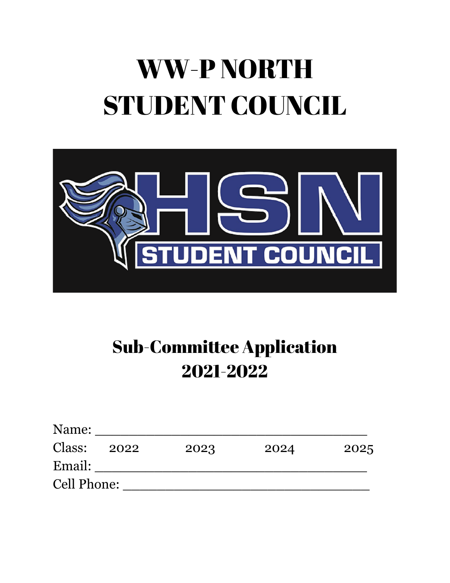# WW-P NORTH STUDENT COUNCIL



# Sub-Committee Application 2021-2022

| Name:              |      |      |      |      |
|--------------------|------|------|------|------|
| Class:             | 2022 | 2023 | 2024 | 2025 |
| Email:             |      |      |      |      |
| <b>Cell Phone:</b> |      |      |      |      |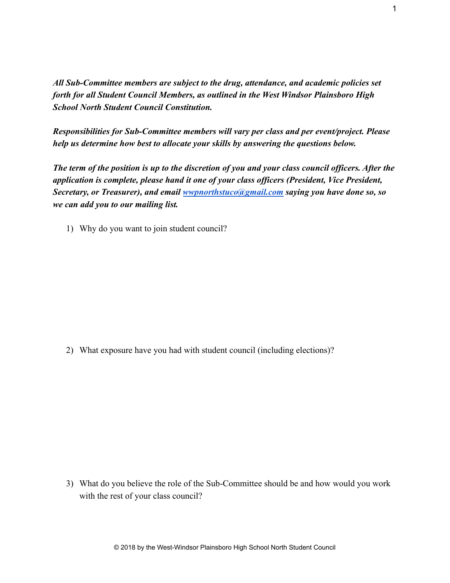*All Sub-Committee members are subject to the drug, attendance, and academic policies set forth for all Student Council Members, as outlined in the West Windsor Plainsboro High School North Student Council Constitution.*

*Responsibilities for Sub-Committee members will vary per class and per event/project. Please help us determine how best to allocate your skills by answering the questions below.*

*The term of the position is up to the discretion of you and your class council officers. After the application is complete, please hand it one of your class officers (President, Vice President, Secretary, or Treasurer), and email [wwpnorthstuco@gmail.com](mailto:wwpnorthstuco@gmail.com) saying you have done so, so we can add you to our mailing list.*

1) Why do you want to join student council?

2) What exposure have you had with student council (including elections)?

3) What do you believe the role of the Sub-Committee should be and how would you work with the rest of your class council?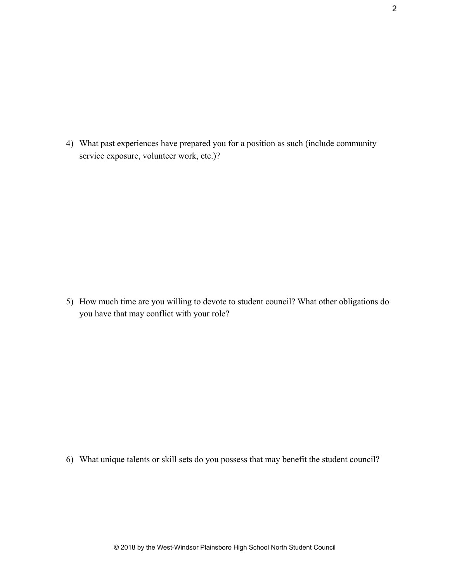4) What past experiences have prepared you for a position as such (include community service exposure, volunteer work, etc.)?

5) How much time are you willing to devote to student council? What other obligations do you have that may conflict with your role?

6) What unique talents or skill sets do you possess that may benefit the student council?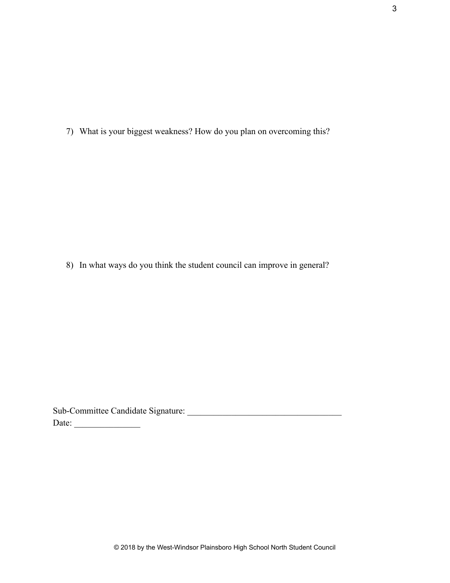7) What is your biggest weakness? How do you plan on overcoming this?

8) In what ways do you think the student council can improve in general?

Sub-Committee Candidate Signature: \_\_\_\_\_\_\_\_\_\_\_\_\_\_\_\_\_\_\_\_\_\_\_\_\_\_\_\_\_\_\_\_\_\_\_ Date: \_\_\_\_\_\_\_\_\_\_\_\_\_\_\_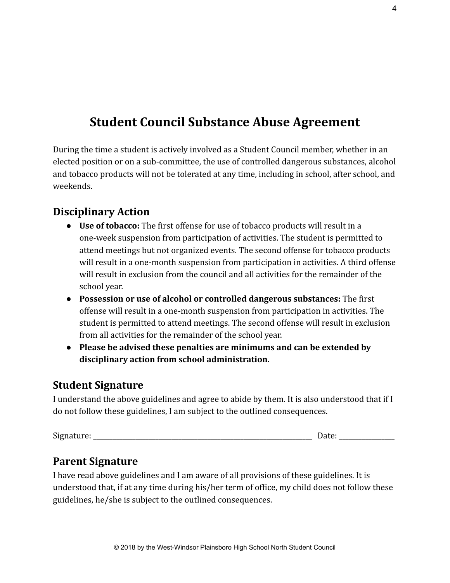# **Student Council Substance Abuse Agreement**

During the time a student is actively involved as a Student Council member, whether in an elected position or on a sub-committee, the use of controlled dangerous substances, alcohol and tobacco products will not be tolerated at any time, including in school, after school, and weekends.

#### **Disciplinary Action**

- **● Use of tobacco:** The first offense for use of tobacco products will result in a one-week suspension from participation of activities. The student is permitted to attend meetings but not organized events. The second offense for tobacco products will result in a one-month suspension from participation in activities. A third offense will result in exclusion from the council and all activities for the remainder of the school year.
- **● Possession or use of alcohol or controlled dangerous substances:** The first offense will result in a one-month suspension from participation in activities. The student is permitted to attend meetings. The second offense will result in exclusion from all activities for the remainder of the school year.
- **● Please be advised these penalties are minimums and can be extended by disciplinary action from school administration.**

#### **Student Signature**

I understand the above guidelines and agree to abide by them. It is also understood that if I do not follow these guidelines, I am subject to the outlined consequences.

| $\sim$<br>$\cdots$<br>Sigr<br>. |  |
|---------------------------------|--|
|                                 |  |

## **Parent Signature**

I have read above guidelines and I am aware of all provisions of these guidelines. It is understood that, if at any time during his/her term of office, my child does not follow these guidelines, he/she is subject to the outlined consequences.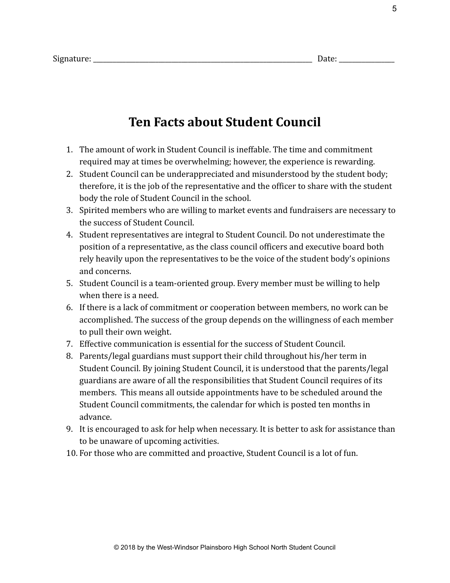# **Ten Facts about Student Council**

- 1. The amount of work in Student Council is ineffable. The time and commitment required may at times be overwhelming; however, the experience is rewarding.
- 2. Student Council can be underappreciated and misunderstood by the student body; therefore, it is the job of the representative and the officer to share with the student body the role of Student Council in the school.
- 3. Spirited members who are willing to market events and fundraisers are necessary to the success of Student Council.
- 4. Student representatives are integral to Student Council. Do not underestimate the position of a representative, as the class council officers and executive board both rely heavily upon the representatives to be the voice of the student body's opinions and concerns.
- 5. Student Council is a team-oriented group. Every member must be willing to help when there is a need.
- 6. If there is a lack of commitment or cooperation between members, no work can be accomplished. The success of the group depends on the willingness of each member to pull their own weight.
- 7. Effective communication is essential for the success of Student Council.
- 8. Parents/legal guardians must support their child throughout his/her term in Student Council. By joining Student Council, it is understood that the parents/legal guardians are aware of all the responsibilities that Student Council requires of its members. This means all outside appointments have to be scheduled around the Student Council commitments, the calendar for which is posted ten months in advance.
- 9. It is encouraged to ask for help when necessary. It is better to ask for assistance than to be unaware of upcoming activities.
- 10. For those who are committed and proactive, Student Council is a lot of fun.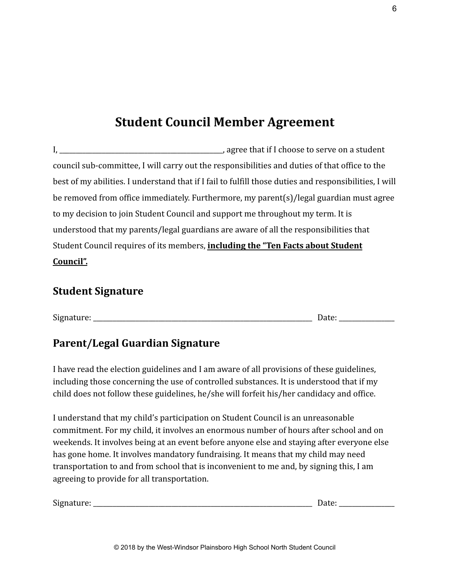# **Student Council Member Agreement**

I, \_\_\_\_\_\_\_\_\_\_\_\_\_\_\_\_\_\_\_\_\_\_\_\_\_\_\_\_\_\_\_\_\_\_\_\_\_\_\_\_\_\_\_\_\_\_\_\_\_\_, agree that if I choose to serve on a student council sub-committee, I will carry out the responsibilities and duties of that office to the best of my abilities. I understand that if I fail to fulfill those duties and responsibilities, I will be removed from office immediately. Furthermore, my parent(s)/legal guardian must agree to my decision to join Student Council and support me throughout my term. It is understood that my parents/legal guardians are aware of all the responsibilities that Student Council requires of its members, **including the "Ten Facts about Student Council".**

#### **Student Signature**

| $\sim$<br>1112<br>$\mathcal{L}$<br>$\overline{\phantom{a}}$ |     |
|-------------------------------------------------------------|-----|
|                                                             | u u |

## **Parent/Legal Guardian Signature**

I have read the election guidelines and I am aware of all provisions of these guidelines, including those concerning the use of controlled substances. It is understood that if my child does not follow these guidelines, he/she will forfeit his/her candidacy and office.

I understand that my child's participation on Student Council is an unreasonable commitment. For my child, it involves an enormous number of hours after school and on weekends. It involves being at an event before anyone else and staying after everyone else has gone home. It involves mandatory fundraising. It means that my child may need transportation to and from school that is inconvenient to me and, by signing this, I am agreeing to provide for all transportation.

| $\sim$<br>218<br>11d1<br>.cuic. | $-$ 0.00 $-$<br>- |  |
|---------------------------------|-------------------|--|
|                                 |                   |  |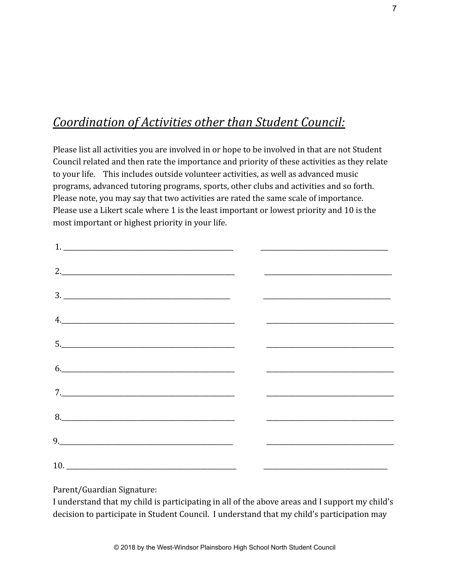# *Coordination of Activities other than Student Council:*

Please list all activities you are involved in or hope to be involved in that are not Student Council related and then rate the importance and priority of these activities as they relate to your life. This includes outside volunteer activities, as well as advanced music programs, advanced tutoring programs, sports, other clubs and activities and so forth. Please note, you may say that two activities are rated the same scale of importance. Please use a Likert scale where 1 is the least important or lowest priority and 10 is the most important or highest priority in your life.

| $\begin{array}{c} \hline \text{2.} \end{array}$                                                                                                                                                                                                                                                                                                                                                                                                                                                                                                      |  |
|------------------------------------------------------------------------------------------------------------------------------------------------------------------------------------------------------------------------------------------------------------------------------------------------------------------------------------------------------------------------------------------------------------------------------------------------------------------------------------------------------------------------------------------------------|--|
|                                                                                                                                                                                                                                                                                                                                                                                                                                                                                                                                                      |  |
| $\begin{array}{c} \n4. \quad \text{---} \quad \text{---} \quad \text{---} \quad \text{---} \quad \text{---} \quad \text{---} \quad \text{---} \quad \text{---} \quad \text{---} \quad \text{---} \quad \text{---} \quad \text{---} \quad \text{---} \quad \text{---} \quad \text{---} \quad \text{---} \quad \text{---} \quad \text{---} \quad \text{---} \quad \text{---} \quad \text{---} \quad \text{---} \quad \text{---} \quad \text{---} \quad \text{---} \quad \text{---} \quad \text{---} \quad \text{---} \quad \text{---} \quad \text{---$ |  |
|                                                                                                                                                                                                                                                                                                                                                                                                                                                                                                                                                      |  |
| 6.                                                                                                                                                                                                                                                                                                                                                                                                                                                                                                                                                   |  |
|                                                                                                                                                                                                                                                                                                                                                                                                                                                                                                                                                      |  |
|                                                                                                                                                                                                                                                                                                                                                                                                                                                                                                                                                      |  |
|                                                                                                                                                                                                                                                                                                                                                                                                                                                                                                                                                      |  |
|                                                                                                                                                                                                                                                                                                                                                                                                                                                                                                                                                      |  |

Parent/Guardian Signature:

I understand that my child is participating in all of the above areas and I support my child's decision to participate in Student Council. I understand that my child's participation may